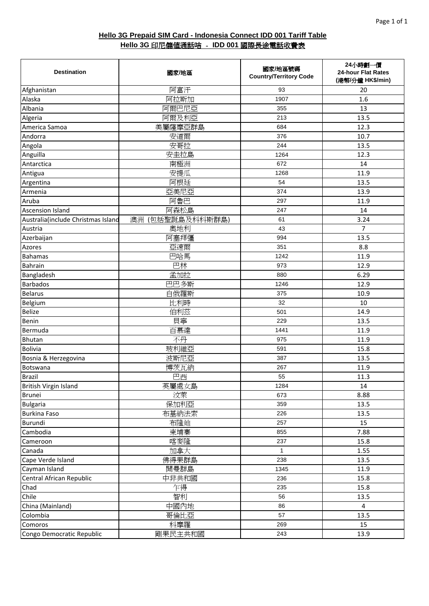| <b>Destination</b>                 | 國家/地區            | 國家/地區號碼<br><b>Country/Territory Code</b> | 24小時劃一價<br>24-hour Flat Rates<br>(港幣/分鐘 HK\$/min) |
|------------------------------------|------------------|------------------------------------------|---------------------------------------------------|
| Afghanistan                        | 阿富汗              | 93                                       | 20                                                |
| Alaska                             | 阿拉斯加             | 1907                                     | 1.6                                               |
| Albania                            | 阿爾巴尼亞            | 355                                      | 13                                                |
| Algeria                            | 阿爾及利亞            | 213                                      | 13.5                                              |
| America Samoa                      | 美屬薩摩亞群島          | 684                                      | 12.3                                              |
| Andorra                            | 安道爾              | 376                                      | 10.7                                              |
| Angola                             | 安哥拉              | 244                                      | 13.5                                              |
| Anguilla                           | 安圭拉島             | 1264                                     | 12.3                                              |
| Antarctica                         | 南極洲              | 672                                      | 14                                                |
| Antigua                            | 安提瓜              | 1268                                     | 11.9                                              |
| Argentina                          | 阿根廷              | 54                                       | 13.5                                              |
| Armenia                            | 亞美尼亞             | 374                                      | 13.9                                              |
| Aruba                              | 阿魯巴              | 297                                      | 11.9                                              |
| <b>Ascension Island</b>            | 阿森松島             | 247                                      | 14                                                |
| Australia(include Christmas Island | 澳洲 (包括聖誕島及科科斯群島) | 61                                       | 3.24                                              |
| Austria                            | 奧地利              | 43                                       | 7                                                 |
| Azerbaijan                         | 阿塞拜彊             | 994                                      | 13.5                                              |
| <b>Azores</b>                      | 亞速爾              | 351                                      | 8.8                                               |
| <b>Bahamas</b>                     | 巴哈馬              | 1242                                     | 11.9                                              |
| <b>Bahrain</b>                     | 巴林               | 973                                      | 12.9                                              |
| Bangladesh                         | 孟加拉              | 880                                      | 6.29                                              |
| <b>Barbados</b>                    | 巴巴多斯             | 1246                                     | 12.9                                              |
| <b>Belarus</b>                     | 白俄羅斯             | 375                                      | 10.9                                              |
| Belgium                            | 比利時              | 32                                       | 10                                                |
| <b>Belize</b>                      | 伯利茲              | 501                                      | 14.9                                              |
| Benin                              | 貝寧               | 229                                      | 13.5                                              |
| Bermuda                            | 百慕達              | 1441                                     | 11.9                                              |
| <b>Bhutan</b>                      | 不丹               | 975                                      | 11.9                                              |
| <b>Bolivia</b>                     | 玻利維亞             | 591                                      | 15.8                                              |
| Bosnia & Herzegovina               | 波斯尼亞             | 387                                      | 13.5                                              |
| Botswana                           | 博茨瓦納             | 267                                      | 11.9                                              |
| <b>Brazil</b>                      | 巴西               | 55                                       | 11.3                                              |
| British Virgin Island              | 英屬處女島            | 1284                                     | 14                                                |
| <b>Brunei</b>                      | 汶萊               | 673                                      | 8.88                                              |
| <b>Bulgaria</b>                    | 保加利亞             | 359                                      | 13.5                                              |
| <b>Burkina Faso</b>                | 布基納法索            | 226                                      | 13.5                                              |
| Burundi                            | 布隆廸              | 257                                      | 15                                                |
| Cambodia                           | 柬埔寨              | 855                                      | 7.88                                              |
| Cameroon                           | 喀麥隆              | 237                                      | 15.8                                              |
| Canada                             | 加拿大              | $\mathbf{1}$                             | 1.55                                              |
| Cape Verde Island                  | 佛得果群島            | 238                                      | 13.5                                              |
| Cayman Island                      | 開曼群島             | 1345                                     | 11.9                                              |
| Central African Republic           | 中非共和國            | 236                                      | 15.8                                              |
| Chad                               | 乍得               | 235                                      | 15.8                                              |
| Chile                              | 智利               | 56                                       | 13.5                                              |
| China (Mainland)                   | 中國內地             | 86                                       | $\overline{4}$                                    |
| Colombia                           | 哥倫比亞             | 57                                       | 13.5                                              |
| Comoros                            | 科摩羅              | 269                                      | 15                                                |
| Congo Democratic Republic          | 剛果民主共和國          | 243                                      | 13.9                                              |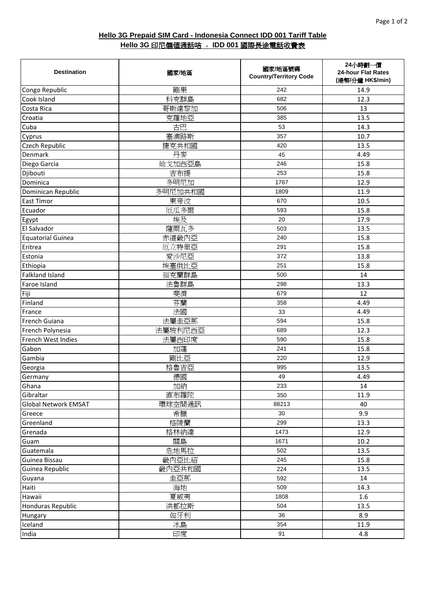| <b>Destination</b>          | 國家/地區   | 國家/地區號碼<br><b>Country/Territory Code</b> | 24小時劃一價<br>24-hour Flat Rates<br>(港幣/分鐘 HK\$/min) |
|-----------------------------|---------|------------------------------------------|---------------------------------------------------|
| Congo Republic              | 剛果      | 242                                      | 14.9                                              |
| Cook Island                 | 科克群島    | 682                                      | 12.3                                              |
| Costa Rica                  | 哥斯達黎加   | 506                                      | 13                                                |
| Croatia                     | 克羅地亞    | 385                                      | 13.5                                              |
| Cuba                        | 古巴      | 53                                       | 14.3                                              |
| Cyprus                      | 塞浦路斯    | 357                                      | 10.7                                              |
| Czech Republic              | 捷克共和國   | 420                                      | 13.5                                              |
| Denmark                     | 丹麥      | 45                                       | 4.49                                              |
| Diego Garcia                | 廸戈加西亞島  | 246                                      | 15.8                                              |
| Djibouti                    | 吉布提     | 253                                      | 15.8                                              |
| Dominica                    | 多明尼加    | 1767                                     | 12.9                                              |
| Dominican Republic          | 多明尼加共和國 | 1809                                     | 11.9                                              |
| <b>East Timor</b>           | 東帝汶     | 670                                      | 10.5                                              |
| Ecuador                     | 厄瓜多爾    | 593                                      | 15.8                                              |
| Egypt                       | 埃及      | 20                                       | 17.9                                              |
| El Salvador                 | 薩爾瓦多    | 503                                      | 13.5                                              |
| <b>Equatorial Guinea</b>    | 赤道畿內亞   | 240                                      | 15.8                                              |
| Eritrea                     | 厄立特里亞   | 291                                      | 15.8                                              |
| Estonia                     | 愛沙尼亞    | 372                                      | 13.8                                              |
| Ethiopia                    | 埃塞俄比亞   | 251                                      | 15.8                                              |
| <b>Falkland Island</b>      | 福克蘭群島   | 500                                      | 14                                                |
| Faroe Island                | 法魯群島    | 298                                      | 13.3                                              |
| Fiji                        | 斐濟      | 679                                      | 12                                                |
| Finland                     | 芬蘭      | 358                                      | 4.49                                              |
| France                      | 法國      | 33                                       | 4.49                                              |
| French Guiana               | 法屬圭亞那   | 594                                      | 15.8                                              |
| French Polynesia            | 法屬玻利尼西亞 | 689                                      | 12.3                                              |
| French West Indies          | 法屬西印度   | 590                                      | 15.8                                              |
| Gabon                       | 加蓬      | 241                                      | 15.8                                              |
| Gambia                      | 剛比亞     | 220                                      | 12.9                                              |
| Georgia                     | 格魯吉亞    | 995                                      | 13.5                                              |
| Germany                     | 德國      | 49                                       | 4.49                                              |
| Ghana                       | 加納      | 233                                      | 14                                                |
| Gibraltar                   | 直布羅陀    | 350                                      | 11.9                                              |
| <b>Global Network EMSAT</b> | 環球空間通訊  | 88213                                    | 40                                                |
| Greece                      | 希臘      | 30                                       | 9.9                                               |
| Greenland                   | 格陵蘭     | 299                                      | 13.3                                              |
| Grenada                     | 格林納達    | 1473                                     | 12.9                                              |
| Guam                        | 關島      | 1671                                     | 10.2                                              |
| Guatemala                   | 危地馬拉    | 502                                      | 13.5                                              |
| Guinea Bissau               | 畿內亞比紹   | 245                                      | 15.8                                              |
| Guinea Republic             | 畿內亞共和國  | 224                                      | 13.5                                              |
| Guyana                      | 圭亞那     | 592                                      | 14                                                |
| Haiti                       | 海地      | 509                                      | 14.3                                              |
| Hawaii                      | 夏威夷     | 1808                                     | 1.6                                               |
| <b>Honduras Republic</b>    | 洪都拉斯    | 504                                      | 13.5                                              |
| Hungary                     | 匈牙利     | 36                                       | 8.9                                               |
| Iceland                     | 冰島      | 354                                      | 11.9                                              |
| India                       | 印度      | 91                                       | 4.8                                               |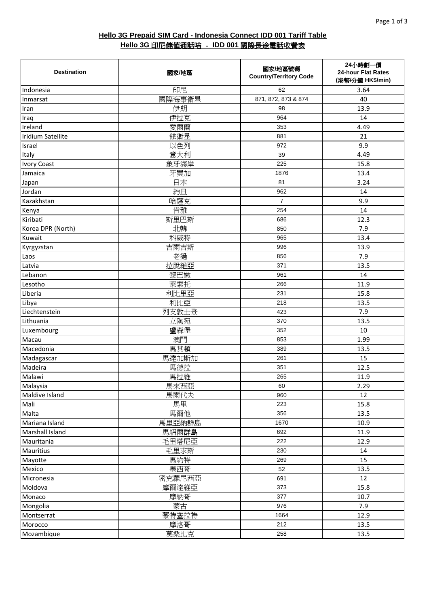| <b>Destination</b>       | 國家/地區  | 國家/地區號碼<br><b>Country/Territory Code</b> | 24小時劃一價<br>24-hour Flat Rates<br>(港幣/分鐘 HK\$/min) |
|--------------------------|--------|------------------------------------------|---------------------------------------------------|
| Indonesia                | 印尼     | 62                                       | 3.64                                              |
| Inmarsat                 | 國際海事衛星 | 871, 872, 873 & 874                      | 40                                                |
| Iran                     | 伊朗     | 98                                       | 13.9                                              |
| Iraq                     | 伊拉克    | 964                                      | 14                                                |
| Ireland                  | 愛爾蘭    | 353                                      | 4.49                                              |
| <b>Iridium Satellite</b> | 銥衛星    | 881                                      | 21                                                |
| Israel                   | 以色列    | 972                                      | 9.9                                               |
| Italy                    | 意大利    | 39                                       | 4.49                                              |
| <b>Ivory Coast</b>       | 象牙海岸   | 225                                      | 15.8                                              |
| Jamaica                  | 牙買加    | 1876                                     | 13.4                                              |
| Japan                    | 日本     | 81                                       | 3.24                                              |
| Jordan                   | 約旦     | 962                                      | 14                                                |
| Kazakhstan               | 哈薩克    | $\overline{7}$                           | 9.9                                               |
| Kenya                    | 肯雅     | 254                                      | 14                                                |
| Kiribati                 | 斯里巴斯   | 686                                      | 12.3                                              |
| Korea DPR (North)        | 北韓     | 850                                      | 7.9                                               |
| Kuwait                   | 科威特    | 965                                      | 13.4                                              |
| Kyrgyzstan               | 吉爾吉斯   | 996                                      | 13.9                                              |
| Laos                     | 老撾     | 856                                      | 7.9                                               |
| Latvia                   | 拉脫維亞   | 371                                      | 13.5                                              |
| Lebanon                  | 黎巴嫩    | 961                                      | 14                                                |
| Lesotho                  | 萊索托    | 266                                      | 11.9                                              |
| Liberia                  | 利比里亞   | 231                                      | 15.8                                              |
| Libya                    | 利比亞    | 218                                      | 13.5                                              |
| Liechtenstein            | 列支敦士登  | 423                                      | 7.9                                               |
| Lithuania                | 立陶宛    | 370                                      | 13.5                                              |
| Luxembourg               | 盧森堡    | 352                                      | 10                                                |
| Macau                    | 澳門     | 853                                      | 1.99                                              |
| Macedonia                | 馬其頓    | 389                                      | 13.5                                              |
| Madagascar               | 馬達加斯加  | 261                                      | 15                                                |
| Madeira                  | 馬德拉    | 351                                      | 12.5                                              |
| Malawi                   | 馬拉維    | 265                                      | 11.9                                              |
| Malaysia                 | 馬來西亞   | 60                                       | 2.29                                              |
| Maldive Island           | 馬爾代夫   | 960                                      | 12                                                |
| Mali                     | 馬里     | 223                                      | 15.8                                              |
| Malta                    | 馬爾他    | 356                                      | 13.5                                              |
| Mariana Island           | 馬里亞納群島 | 1670                                     | 10.9                                              |
| Marshall Island          | 馬紹爾群島  | 692                                      | 11.9                                              |
| Mauritania               | 毛里塔尼亞  | 222                                      | 12.9                                              |
| <b>Mauritius</b>         | 毛里求斯   | 230                                      | 14                                                |
| Mayotte                  | 馬約特    | 269                                      | 15                                                |
| Mexico                   | 墨西哥    | 52                                       | 13.5                                              |
| Micronesia               | 密克羅尼西亞 | 691                                      | 12                                                |
| Moldova                  | 摩爾達維亞  | 373                                      | 15.8                                              |
| Monaco                   | 摩納哥    | 377                                      | 10.7                                              |
| Mongolia                 | 蒙古     | 976                                      | 7.9                                               |
| Montserrat               | 蒙特塞拉特  | 1664                                     | 12.9                                              |
| Morocco                  | 摩洛哥    | 212                                      | 13.5                                              |
| Mozambique               | 莫桑比克   | 258                                      | 13.5                                              |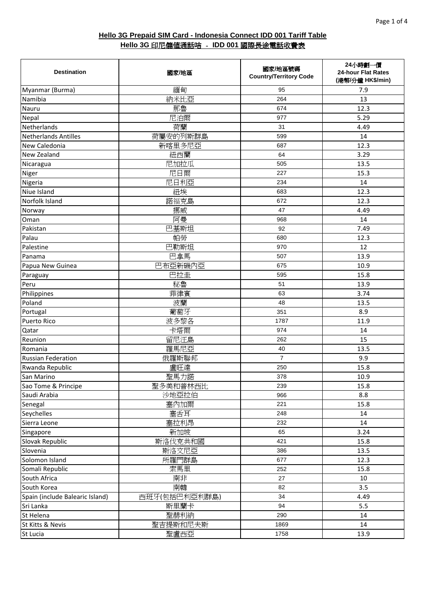| <b>Destination</b>              | 國家/地區         | 國家/地區號碼<br><b>Country/Territory Code</b> | 24小時劃一價<br>24-hour Flat Rates<br>(港幣/分鐘 HK\$/min) |
|---------------------------------|---------------|------------------------------------------|---------------------------------------------------|
| Myanmar (Burma)                 | 緬甸            | 95                                       | 7.9                                               |
| Namibia                         | 納米比亞          | 264                                      | 13                                                |
| Nauru                           | 那魯            | 674                                      | 12.3                                              |
| Nepal                           | 尼泊爾           | 977                                      | 5.29                                              |
| Netherlands                     | 荷蘭            | 31                                       | 4.49                                              |
| <b>Netherlands Antilles</b>     | 荷屬安的列斯群島      | 599                                      | 14                                                |
| New Caledonia                   | 新喀里多尼亞        | 687                                      | 12.3                                              |
| New Zealand                     | 紐西蘭           | 64                                       | 3.29                                              |
| Nicaragua                       | 尼加拉瓜          | 505                                      | 13.5                                              |
| Niger                           | 尼日爾           | 227                                      | 15.3                                              |
| Nigeria                         | 尼日利亞          | 234                                      | 14                                                |
| Niue Island                     | 紐埃            | 683                                      | 12.3                                              |
| Norfolk Island                  | 諾福克島          | 672                                      | 12.3                                              |
| Norway                          | 挪威            | 47                                       | 4.49                                              |
| Oman                            | 阿曼            | 968                                      | 14                                                |
| Pakistan                        | 巴基斯坦          | 92                                       | 7.49                                              |
| Palau                           | 帕勞            | 680                                      | 12.3                                              |
| Palestine                       | 巴勒斯坦          | 970                                      | 12                                                |
| Panama                          | 巴拿馬           | 507                                      | 13.9                                              |
| Papua New Guinea                | 巴布亞新磯內亞       | 675                                      | 10.9                                              |
| Paraguay                        | 巴拉圭           | 595                                      | 15.8                                              |
| Peru                            | 秘魯            | 51                                       | 13.9                                              |
| Philippines                     | 菲律賓           | 63                                       | 3.74                                              |
| Poland                          | 波蘭            | 48                                       | 13.5                                              |
| Portugal                        | 葡萄牙           | 351                                      | 8.9                                               |
| <b>Puerto Rico</b>              | 波多黎各          | 1787                                     | 11.9                                              |
| Qatar                           | 卡塔爾           | 974                                      | 14                                                |
| Reunion                         | 留尼汪島          | 262                                      | 15                                                |
| Romania                         | 羅馬尼亞          | 40                                       | 13.5                                              |
| <b>Russian Federation</b>       | 俄羅斯聯邦         | $\overline{7}$                           | 9.9                                               |
| Rwanda Republic                 | 盧旺達           | 250                                      | 15.8                                              |
| San Marino                      | 聖馬力諾          | 378                                      | 10.9                                              |
| Sao Tome & Principe             | 聖多美和普林西比      | 239                                      | 15.8                                              |
| Saudi Arabia                    | 沙地亞拉伯         | 966                                      | 8.8                                               |
| Senegal                         | 塞內加爾          | 221                                      | 15.8                                              |
| Seychelles                      | 塞舌耳           | 248                                      | 14                                                |
| Sierra Leone                    | 塞拉利昂          | 232                                      | 14                                                |
| Singapore                       | 新加坡           | 65                                       | 3.24                                              |
| Slovak Republic                 | 斯洛伐克共和國       | 421                                      | 15.8                                              |
| Slovenia                        | 斯洛文尼亞         | 386                                      | 13.5                                              |
| Solomon Island                  | 所羅門群島         | 677                                      | 12.3                                              |
| Somali Republic                 | 索馬里           | 252                                      | 15.8                                              |
| South Africa                    | 南非            | 27                                       | 10                                                |
| South Korea                     | 南韓            | 82                                       | 3.5                                               |
| Spain (include Balearic Island) | 西班牙(包括巴利亞利群島) | 34                                       | 4.49                                              |
| Sri Lanka                       | 斯里蘭卡          | 94                                       | 5.5                                               |
| St Helena                       | 聖赫利納          | 290                                      | 14                                                |
| St Kitts & Nevis                | 聖吉提斯和尼夫斯      | 1869                                     | 14                                                |
| St Lucia                        | 聖盧西亞          | 1758                                     | 13.9                                              |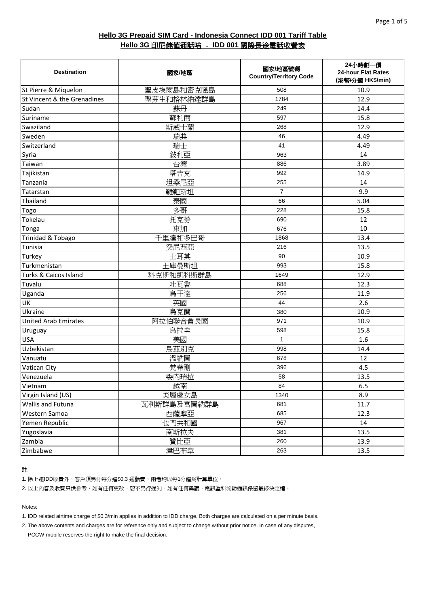| <b>Destination</b>          | 國家/地區       | 國家/地區號碼<br><b>Country/Territory Code</b> | 24小時劃一價<br>24-hour Flat Rates<br>(港幣/分鐘 HK\$/min) |
|-----------------------------|-------------|------------------------------------------|---------------------------------------------------|
| St Pierre & Miquelon        | 聖皮埃爾島和密克隆島  | 508                                      | 10.9                                              |
| St Vincent & the Grenadines | 聖芬生和格林納達群島  | 1784                                     | 12.9                                              |
| Sudan                       | 蘇丹          | 249                                      | 14.4                                              |
| Suriname                    | 蘇利南         | 597                                      | 15.8                                              |
| Swaziland                   | 斯威士蘭        | 268                                      | 12.9                                              |
| Sweden                      | 瑞典          | 46                                       | 4.49                                              |
| Switzerland                 | 瑞士          | 41                                       | 4.49                                              |
| Syria                       | 敍利亞         | 963                                      | 14                                                |
| Taiwan                      | 台灣          | 886                                      | 3.89                                              |
| Tajikistan                  | 塔吉克         | 992                                      | 14.9                                              |
| Tanzania                    | 坦桑尼亞        | 255                                      | 14                                                |
| Tatarstan                   | 韃靼斯坦        | $\overline{7}$                           | 9.9                                               |
| Thailand                    | 泰國          | 66                                       | 5.04                                              |
| Togo                        | 多哥          | 228                                      | 15.8                                              |
| Tokelau                     | 托克勞         | 690                                      | 12                                                |
| Tonga                       | 東加          | 676                                      | 10                                                |
| Trinidad & Tobago           | 千里達和多巴哥     | 1868                                     | 13.4                                              |
| Tunisia                     | 突尼西亞        | 216                                      | 13.5                                              |
| Turkey                      | 土耳其         | 90                                       | 10.9                                              |
| Turkmenistan                | 土庫曼斯坦       | 993                                      | 15.8                                              |
| Turks & Caicos Island       | 科克斯和凱科斯群島   | 1649                                     | 12.9                                              |
| Tuvalu                      | 吐瓦魯         | 688                                      | 12.3                                              |
| Uganda                      | 烏干達         | 256                                      | 11.9                                              |
| <b>UK</b>                   | 英國          | 44                                       | 2.6                                               |
| Ukraine                     | 烏克蘭         | 380                                      | 10.9                                              |
| <b>United Arab Emirates</b> | 阿拉伯聯合酋長國    | 971                                      | 10.9                                              |
| Uruguay                     | 烏拉圭         | 598                                      | 15.8                                              |
| <b>USA</b>                  | 美國          | $\mathbf{1}$                             | 1.6                                               |
| Uzbekistan                  | 烏茲別克        | 998                                      | 14.4                                              |
| Vanuatu                     | 溫納圖         | 678                                      | 12                                                |
| Vatican City                | 梵蒂剛         | 396                                      | 4.5                                               |
| Venezuela                   | 委內瑞拉        | 58                                       | 13.5                                              |
| Vietnam                     | 越南          | 84                                       | 6.5                                               |
| Virgin Island (US)          | 美屬處女島       | 1340                                     | 8.9                                               |
| <b>Wallis and Futuna</b>    | 瓦利斯群島及富圖納群島 | 681                                      | 11.7                                              |
| Western Samoa               | 西薩摩亞        | 685                                      | 12.3                                              |
| Yemen Republic              | 也門共和國       | 967                                      | 14                                                |
| Yugoslavia                  | 南斯拉夫        | 381                                      | 13.5                                              |
| Zambia                      | 贊比亞         | 260                                      | 13.9                                              |
| Zimbabwe                    | 津巴布韋        | 263                                      | 13.5                                              |

註:

1. 除上述IDD收費外,客戶須另付每分鐘\$0.3 通話費,兩者均以每1分鐘為計算單位。

2. 以上內容及收費只供參考,如有任何更改,恕不另行通知。如有任何異議,電訊盈科流動通訊保留最終決定權。

Notes:

1. IDD related airtime charge of \$0.3/min applies in addition to IDD charge. Both charges are calculated on a per minute basis.

2. The above contents and charges are for reference only and subject to change without prior notice. In case of any disputes, PCCW mobile reserves the right to make the final decision.